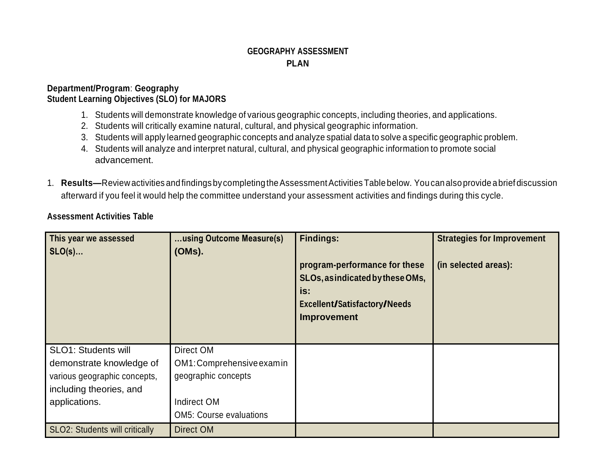## **GEOGRAPHY ASSESSMENT PLAN**

## **Department/Program**: **Geography Student Learning Objectives (SLO) for MAJORS**

- 1. Students will demonstrate knowledge of various geographic concepts, including theories, and applications.
- 2. Students will critically examine natural, cultural, and physical geographic information.
- 3. Students will apply learned geographic concepts and analyze spatial data to solve a specific geographic problem.
- 4. Students will analyze and interpret natural, cultural, and physical geographic information to promote social advancement.
- 1. **Results—**Review activities and findings by completing the Assessment Activities Table below. You can also provide a brief discussion afterward if you feel it would help the committee understand your assessment activities and findings during this cycle.

## **Assessment Activities Table**

| This year we assessed<br>$SLO(s)$                                                                                                  | using Outcome Measure(s)<br>(OMs).                                                                             | <b>Findings:</b><br>program-performance for these<br>SLOs, as indicated by these OMs,<br>is:<br>Excellent/Satisfactory/Needs<br><b>Improvement</b> | <b>Strategies for Improvement</b><br>(in selected areas): |
|------------------------------------------------------------------------------------------------------------------------------------|----------------------------------------------------------------------------------------------------------------|----------------------------------------------------------------------------------------------------------------------------------------------------|-----------------------------------------------------------|
| <b>SLO1: Students will</b><br>demonstrate knowledge of<br>various geographic concepts,<br>including theories, and<br>applications. | Direct OM<br>OM1: Comprehensive examin<br>geographic concepts<br>Indirect OM<br><b>OM5: Course evaluations</b> |                                                                                                                                                    |                                                           |
| <b>SLO2: Students will critically</b>                                                                                              | Direct OM                                                                                                      |                                                                                                                                                    |                                                           |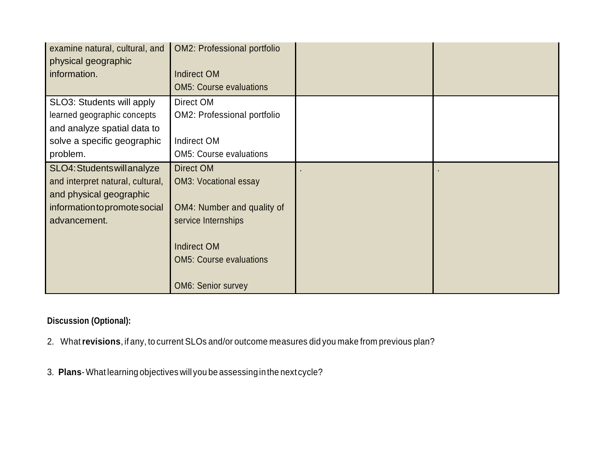| examine natural, cultural, and<br>physical geographic | <b>OM2: Professional portfolio</b> |  |
|-------------------------------------------------------|------------------------------------|--|
| information.                                          | <b>Indirect OM</b>                 |  |
|                                                       | <b>OM5: Course evaluations</b>     |  |
| SLO3: Students will apply                             | Direct OM                          |  |
| learned geographic concepts                           | OM2: Professional portfolio        |  |
| and analyze spatial data to                           |                                    |  |
| solve a specific geographic                           | Indirect OM                        |  |
| problem.                                              | <b>OM5: Course evaluations</b>     |  |
| SLO4: Students will analyze                           | Direct OM                          |  |
| and interpret natural, cultural,                      | <b>OM3: Vocational essay</b>       |  |
| and physical geographic                               |                                    |  |
| information to promote social                         | OM4: Number and quality of         |  |
| advancement.                                          | service Internships                |  |
|                                                       |                                    |  |
|                                                       | <b>Indirect OM</b>                 |  |
|                                                       | <b>OM5: Course evaluations</b>     |  |
|                                                       |                                    |  |
|                                                       | <b>OM6: Senior survey</b>          |  |

## **Discussion (Optional):**

- 2. What**revisions**, if any, to current SLOs and/or outcome measures did you make from previous plan?
- 3. **Plans**-What learning objectives will you be assessing inthe next cycle?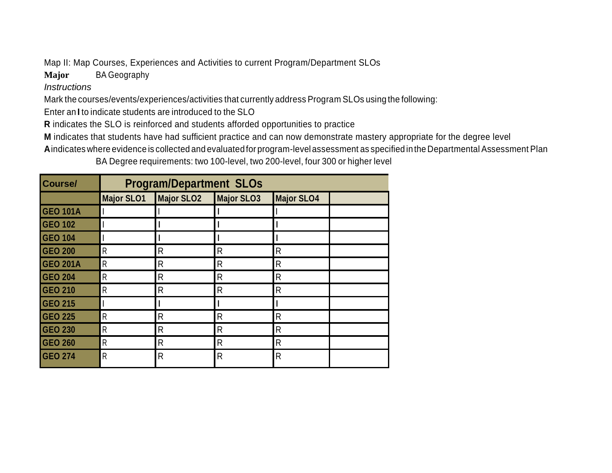Map II: Map Courses, Experiences and Activities to current Program/Department SLOs

**Major** BA Geography

*Instructions*

Mark the courses/events/experiences/activities that currently address Program SLOs using the following:

Enter an **I** to indicate students are introduced to the SLO

**R** indicates the SLO is reinforced and students afforded opportunities to practice

**M** indicates that students have had sufficient practice and can now demonstrate mastery appropriate for the degree level

**A**indicates where evidence is collected and evaluated for program-level assessment as specified inthe Departmental Assessment Plan

BA Degree requirements: two 100-level, two 200-level, four 300 or higher level

| <b>Course/</b>  | <b>Program/Department SLOs</b> |                   |                   |                   |  |
|-----------------|--------------------------------|-------------------|-------------------|-------------------|--|
|                 | <b>Major SLO1</b>              | <b>Major SLO2</b> | <b>Major SLO3</b> | <b>Major SLO4</b> |  |
| <b>GEO 101A</b> |                                |                   |                   |                   |  |
| <b>GEO 102</b>  |                                |                   |                   |                   |  |
| <b>GEO 104</b>  |                                |                   |                   |                   |  |
| <b>GEO 200</b>  | $\mathsf{R}$                   | $\mathsf{R}$      | $\mathsf{R}$      | $\mathsf{R}$      |  |
| <b>GEO 201A</b> | R                              | $\mathsf{R}$      | $\mathsf{R}$      | $\mathsf{R}$      |  |
| <b>GEO 204</b>  | R                              | R                 | $\mathsf{R}$      | $\mathsf{R}$      |  |
| <b>GEO 210</b>  | R                              | R                 | $\mathsf{R}$      | $\mathsf{R}$      |  |
| <b>GEO 215</b>  |                                |                   |                   |                   |  |
| <b>GEO 225</b>  | R                              | $\mathsf{R}$      | $\mathsf{R}$      | $\mathsf{R}$      |  |
| <b>GEO 230</b>  | R                              | $\mathsf{R}$      | $\mathsf{R}$      | $\mathsf{R}$      |  |
| <b>GEO 260</b>  | R                              | R                 | $\mathsf{R}$      | $\mathsf{R}$      |  |
| <b>GEO 274</b>  | $\mathsf{R}$                   | $\mathsf{R}$      | $\mathsf{R}$      | R                 |  |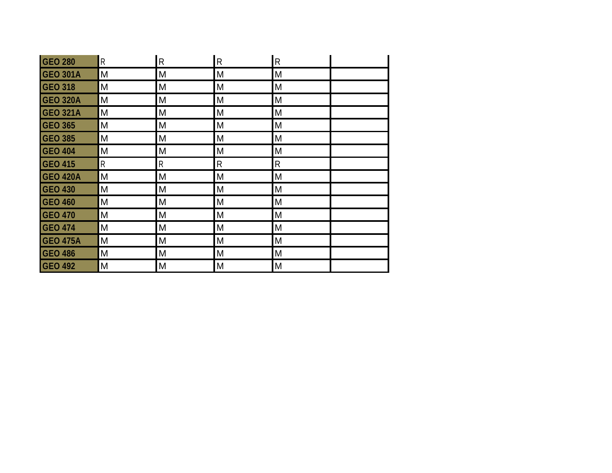| <b>GEO 280</b>  | ${\sf R}$    | $\overline{R}$ | $\mathsf{R}$ | ${\sf R}$ |
|-----------------|--------------|----------------|--------------|-----------|
| <b>GEO 301A</b> | M            | M              | M            | M         |
| <b>GEO 318</b>  | M            | M              | M            | M         |
| <b>GEO 320A</b> | M            | M              | M            | M         |
| <b>GEO 321A</b> | M            | M              | M            | M         |
| <b>GEO 365</b>  | M            | M              | M            | M         |
| <b>GEO 385</b>  | M            | M              | M            | M         |
| <b>GEO 404</b>  | M            | M              | M            | M         |
| <b>GEO 415</b>  | $\mathsf{R}$ | $\mathsf R$    | R            | ${\sf R}$ |
| <b>GEO 420A</b> | M            | M              | M            | M         |
| <b>GEO 430</b>  | M            | M              | M            | M         |
| <b>GEO 460</b>  | M            | M              | M            | M         |
| <b>GEO 470</b>  | M            | M              | M            | M         |
| <b>GEO 474</b>  | M            | M              | M            | M         |
| <b>GEO 475A</b> | M            | M              | M            | M         |
| <b>GEO 486</b>  | M            | M              | M            | M         |
| <b>GEO 492</b>  | M            | M              | M            | M         |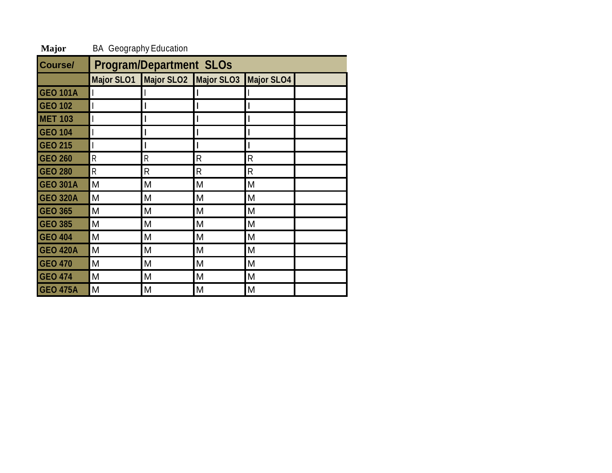| Course/         | <b>Program/Department SLOs</b> |                                             |   |   |  |
|-----------------|--------------------------------|---------------------------------------------|---|---|--|
|                 |                                | Major SLO1 Major SLO2 Major SLO3 Major SLO4 |   |   |  |
| <b>GEO 101A</b> |                                |                                             |   |   |  |
| <b>GEO 102</b>  |                                |                                             |   |   |  |
| <b>MET 103</b>  |                                |                                             |   |   |  |
| <b>GEO 104</b>  |                                |                                             |   |   |  |
| <b>GEO 215</b>  |                                |                                             |   |   |  |
| <b>GEO 260</b>  | R                              | R                                           | R | R |  |
| <b>GEO 280</b>  | R                              | R                                           | R | R |  |
| <b>GEO 301A</b> | M                              | M                                           | M | M |  |
| <b>GEO 320A</b> | M                              | M                                           | M | M |  |
| <b>GEO 365</b>  | M                              | M                                           | M | M |  |
| <b>GEO 385</b>  | M                              | Μ                                           | M | M |  |
| <b>GEO 404</b>  | M                              | M                                           | M | M |  |
| <b>GEO 420A</b> | M                              | M                                           | M | M |  |
| <b>GEO 470</b>  | M                              | M                                           | M | M |  |
| <b>GEO 474</b>  | M                              | M                                           | M | M |  |
| <b>GEO 475A</b> | M                              | M                                           | Μ | M |  |

**Major** BA Geography Education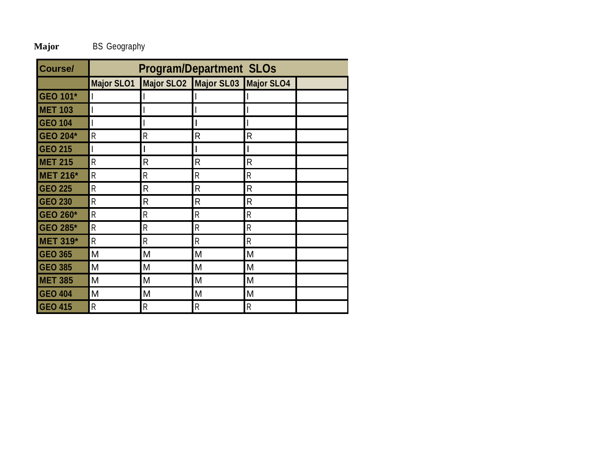**Major** BS Geography

| Course/         | <b>Program/Department SLOs</b> |   |                                  |                |  |
|-----------------|--------------------------------|---|----------------------------------|----------------|--|
|                 | <b>Major SLO1</b>              |   | Major SLO2 Major SL03 Major SLO4 |                |  |
| <b>GEO 101*</b> |                                |   |                                  |                |  |
| <b>MET 103</b>  |                                |   |                                  |                |  |
| <b>GEO 104</b>  |                                |   |                                  |                |  |
| <b>GEO 204*</b> | $\mathsf R$                    | R | $\mathsf{R}$                     | $\mathsf{R}$   |  |
| <b>GEO 215</b>  |                                |   |                                  |                |  |
| <b>MET 215</b>  | R                              | R | $\mathsf{R}$                     | $\mathsf{R}$   |  |
| <b>MET 216*</b> | R                              | R | R                                | R              |  |
| <b>GEO 225</b>  | R                              | R | R                                | $\mathsf{R}$   |  |
| <b>GEO 230</b>  | $\mathsf{R}$                   | R | R                                | $\mathsf{R}$   |  |
| <b>GEO 260*</b> | $\mathsf{R}$                   | R | R                                | $\mathsf{R}$   |  |
| <b>GEO 285*</b> | $\mathsf{R}$                   | R | R                                | R              |  |
| <b>MET 319*</b> | $\mathsf{R}$                   | R | R                                | $\mathsf{R}$   |  |
| <b>GEO 365</b>  | M                              | M | M                                | M              |  |
| <b>GEO 385</b>  | M                              | M | M                                | M              |  |
| <b>MET 385</b>  | M                              | M | M                                | M              |  |
| <b>GEO 404</b>  | M                              | M | M                                | M              |  |
| <b>GEO 415</b>  | $\mathsf{R}$                   | R | $\mathsf{R}$                     | $\overline{R}$ |  |